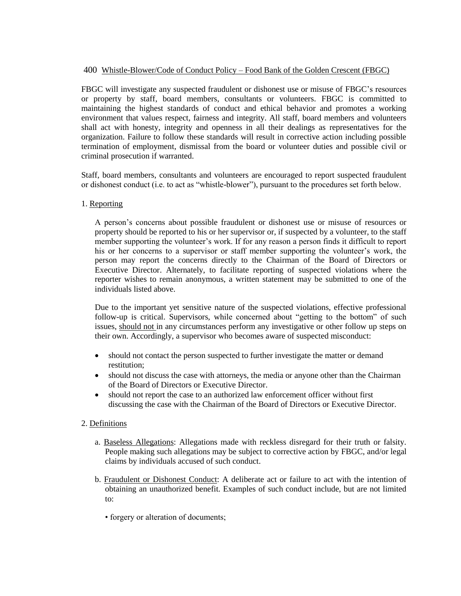## 400 Whistle-Blower/Code of Conduct Policy – Food Bank of the Golden Crescent (FBGC)

FBGC will investigate any suspected fraudulent or dishonest use or misuse of FBGC's resources or property by staff, board members, consultants or volunteers. FBGC is committed to maintaining the highest standards of conduct and ethical behavior and promotes a working environment that values respect, fairness and integrity. All staff, board members and volunteers shall act with honesty, integrity and openness in all their dealings as representatives for the organization. Failure to follow these standards will result in corrective action including possible termination of employment, dismissal from the board or volunteer duties and possible civil or criminal prosecution if warranted.

Staff, board members, consultants and volunteers are encouraged to report suspected fraudulent or dishonest conduct (i.e. to act as "whistle-blower"), pursuant to the procedures set forth below.

## 1. Reporting

A person's concerns about possible fraudulent or dishonest use or misuse of resources or property should be reported to his or her supervisor or, if suspected by a volunteer, to the staff member supporting the volunteer's work. If for any reason a person finds it difficult to report his or her concerns to a supervisor or staff member supporting the volunteer's work, the person may report the concerns directly to the Chairman of the Board of Directors or Executive Director. Alternately, to facilitate reporting of suspected violations where the reporter wishes to remain anonymous, a written statement may be submitted to one of the individuals listed above.

Due to the important yet sensitive nature of the suspected violations, effective professional follow-up is critical. Supervisors, while concerned about "getting to the bottom" of such issues, should not in any circumstances perform any investigative or other follow up steps on their own. Accordingly, a supervisor who becomes aware of suspected misconduct:

- should not contact the person suspected to further investigate the matter or demand restitution;
- should not discuss the case with attorneys, the media or anyone other than the Chairman of the Board of Directors or Executive Director.
- should not report the case to an authorized law enforcement officer without first discussing the case with the Chairman of the Board of Directors or Executive Director.

## 2. Definitions

- a. Baseless Allegations: Allegations made with reckless disregard for their truth or falsity. People making such allegations may be subject to corrective action by FBGC, and/or legal claims by individuals accused of such conduct.
- b. Fraudulent or Dishonest Conduct: A deliberate act or failure to act with the intention of obtaining an unauthorized benefit. Examples of such conduct include, but are not limited to:
	- forgery or alteration of documents;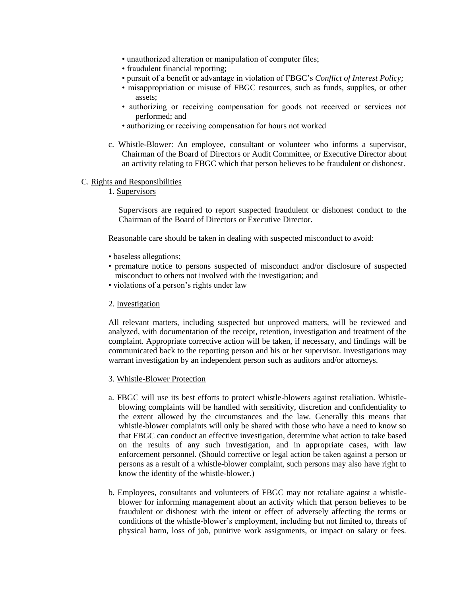- unauthorized alteration or manipulation of computer files;
- fraudulent financial reporting;
- pursuit of a benefit or advantage in violation of FBGC's *Conflict of Interest Policy;*
- misappropriation or misuse of FBGC resources, such as funds, supplies, or other assets;
- authorizing or receiving compensation for goods not received or services not performed; and
- authorizing or receiving compensation for hours not worked
- c. Whistle-Blower: An employee, consultant or volunteer who informs a supervisor, Chairman of the Board of Directors or Audit Committee, or Executive Director about an activity relating to FBGC which that person believes to be fraudulent or dishonest.

## C. Rights and Responsibilities

1. Supervisors

Supervisors are required to report suspected fraudulent or dishonest conduct to the Chairman of the Board of Directors or Executive Director.

Reasonable care should be taken in dealing with suspected misconduct to avoid:

- baseless allegations;
- premature notice to persons suspected of misconduct and/or disclosure of suspected misconduct to others not involved with the investigation; and
- violations of a person's rights under law
- 2. Investigation

All relevant matters, including suspected but unproved matters, will be reviewed and analyzed, with documentation of the receipt, retention, investigation and treatment of the complaint. Appropriate corrective action will be taken, if necessary, and findings will be communicated back to the reporting person and his or her supervisor. Investigations may warrant investigation by an independent person such as auditors and/or attorneys.

- 3. Whistle-Blower Protection
- a. FBGC will use its best efforts to protect whistle-blowers against retaliation. Whistleblowing complaints will be handled with sensitivity, discretion and confidentiality to the extent allowed by the circumstances and the law. Generally this means that whistle-blower complaints will only be shared with those who have a need to know so that FBGC can conduct an effective investigation, determine what action to take based on the results of any such investigation, and in appropriate cases, with law enforcement personnel. (Should corrective or legal action be taken against a person or persons as a result of a whistle-blower complaint, such persons may also have right to know the identity of the whistle-blower.)
- b. Employees, consultants and volunteers of FBGC may not retaliate against a whistleblower for informing management about an activity which that person believes to be fraudulent or dishonest with the intent or effect of adversely affecting the terms or conditions of the whistle-blower's employment, including but not limited to, threats of physical harm, loss of job, punitive work assignments, or impact on salary or fees.